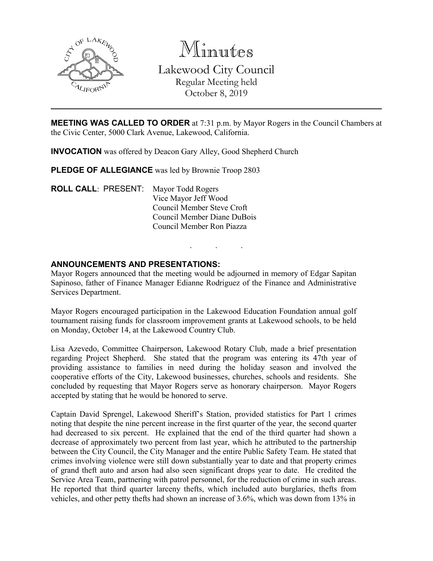

Minutes Lakewood City Council Regular Meeting held October 8, 2019

**MEETING WAS CALLED TO ORDER** at 7:31 p.m. by Mayor Rogers in the Council Chambers at the Civic Center, 5000 Clark Avenue, Lakewood, California.

**INVOCATION** was offered by Deacon Gary Alley, Good Shepherd Church

PLEDGE OF ALLEGIANCE was led by Brownie Troop 2803

**ROLL CALL**: PRESENT: Mayor Todd Rogers Vice Mayor Jeff Wood Council Member Steve Croft Council Member Diane DuBois Council Member Ron Piazza

#### **ANNOUNCEMENTS AND PRESENTATIONS:**

Mayor Rogers announced that the meeting would be adjourned in memory of Edgar Sapitan Sapinoso, father of Finance Manager Edianne Rodriguez of the Finance and Administrative Services Department.

. . .

Mayor Rogers encouraged participation in the Lakewood Education Foundation annual golf tournament raising funds for classroom improvement grants at Lakewood schools, to be held on Monday, October 14, at the Lakewood Country Club.

Lisa Azevedo, Committee Chairperson, Lakewood Rotary Club, made a brief presentation regarding Project Shepherd. She stated that the program was entering its 47th year of providing assistance to families in need during the holiday season and involved the cooperative efforts of the City, Lakewood businesses, churches, schools and residents. She concluded by requesting that Mayor Rogers serve as honorary chairperson. Mayor Rogers accepted by stating that he would be honored to serve.

Captain David Sprengel, Lakewood Sheriff's Station, provided statistics for Part 1 crimes noting that despite the nine percent increase in the first quarter of the year, the second quarter had decreased to six percent. He explained that the end of the third quarter had shown a decrease of approximately two percent from last year, which he attributed to the partnership between the City Council, the City Manager and the entire Public Safety Team. He stated that crimes involving violence were still down substantially year to date and that property crimes of grand theft auto and arson had also seen significant drops year to date. He credited the Service Area Team, partnering with patrol personnel, for the reduction of crime in such areas. He reported that third quarter larceny thefts, which included auto burglaries, thefts from vehicles, and other petty thefts had shown an increase of 3.6%, which was down from 13% in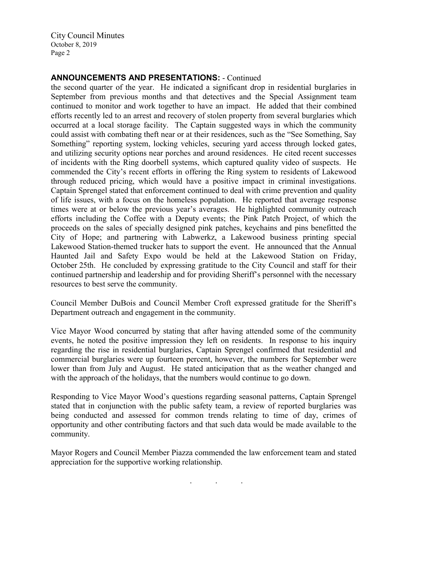City Council Minutes October 8, 2019 Page 2

#### **ANNOUNCEMENTS AND PRESENTATIONS:** - Continued

the second quarter of the year. He indicated a significant drop in residential burglaries in September from previous months and that detectives and the Special Assignment team continued to monitor and work together to have an impact. He added that their combined efforts recently led to an arrest and recovery of stolen property from several burglaries which occurred at a local storage facility. The Captain suggested ways in which the community could assist with combating theft near or at their residences, such as the "See Something, Say Something" reporting system, locking vehicles, securing yard access through locked gates, and utilizing security options near porches and around residences. He cited recent successes of incidents with the Ring doorbell systems, which captured quality video of suspects. He commended the City's recent efforts in offering the Ring system to residents of Lakewood through reduced pricing, which would have a positive impact in criminal investigations. Captain Sprengel stated that enforcement continued to deal with crime prevention and quality of life issues, with a focus on the homeless population. He reported that average response times were at or below the previous year's averages. He highlighted community outreach efforts including the Coffee with a Deputy events; the Pink Patch Project, of which the proceeds on the sales of specially designed pink patches, keychains and pins benefitted the City of Hope; and partnering with Labwerkz, a Lakewood business printing special Lakewood Station-themed trucker hats to support the event. He announced that the Annual Haunted Jail and Safety Expo would be held at the Lakewood Station on Friday, October 25th. He concluded by expressing gratitude to the City Council and staff for their continued partnership and leadership and for providing Sheriff's personnel with the necessary resources to best serve the community.

Council Member DuBois and Council Member Croft expressed gratitude for the Sheriff's Department outreach and engagement in the community.

Vice Mayor Wood concurred by stating that after having attended some of the community events, he noted the positive impression they left on residents. In response to his inquiry regarding the rise in residential burglaries, Captain Sprengel confirmed that residential and commercial burglaries were up fourteen percent, however, the numbers for September were lower than from July and August. He stated anticipation that as the weather changed and with the approach of the holidays, that the numbers would continue to go down.

Responding to Vice Mayor Wood's questions regarding seasonal patterns, Captain Sprengel stated that in conjunction with the public safety team, a review of reported burglaries was being conducted and assessed for common trends relating to time of day, crimes of opportunity and other contributing factors and that such data would be made available to the community.

Mayor Rogers and Council Member Piazza commended the law enforcement team and stated appreciation for the supportive working relationship.

. . .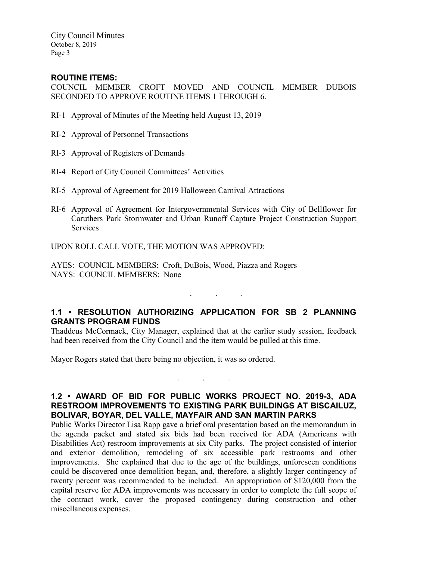City Council Minutes October 8, 2019 Page 3

#### **ROUTINE ITEMS:**

COUNCIL MEMBER CROFT MOVED AND COUNCIL MEMBER DUBOIS SECONDED TO APPROVE ROUTINE ITEMS 1 THROUGH 6.

- RI-1 Approval of Minutes of the Meeting held August 13, 2019
- RI-2 Approval of Personnel Transactions
- RI-3 Approval of Registers of Demands
- RI-4 Report of City Council Committees' Activities
- RI-5 Approval of Agreement for 2019 Halloween Carnival Attractions
- RI-6 Approval of Agreement for Intergovernmental Services with City of Bellflower for Caruthers Park Stormwater and Urban Runoff Capture Project Construction Support **Services**

UPON ROLL CALL VOTE, THE MOTION WAS APPROVED:

AYES: COUNCIL MEMBERS: Croft, DuBois, Wood, Piazza and Rogers NAYS: COUNCIL MEMBERS: None

## **1.1 • RESOLUTION AUTHORIZING APPLICATION FOR SB 2 PLANNING GRANTS PROGRAM FUNDS**

. . .

Thaddeus McCormack, City Manager, explained that at the earlier study session, feedback had been received from the City Council and the item would be pulled at this time.

Mayor Rogers stated that there being no objection, it was so ordered.

#### **1.2 • AWARD OF BID FOR PUBLIC WORKS PROJECT NO. 2019-3, ADA RESTROOM IMPROVEMENTS TO EXISTING PARK BUILDINGS AT BISCAILUZ, BOLIVAR, BOYAR, DEL VALLE, MAYFAIR AND SAN MARTIN PARKS**

. . .

Public Works Director Lisa Rapp gave a brief oral presentation based on the memorandum in the agenda packet and stated six bids had been received for ADA (Americans with Disabilities Act) restroom improvements at six City parks. The project consisted of interior and exterior demolition, remodeling of six accessible park restrooms and other improvements. She explained that due to the age of the buildings, unforeseen conditions could be discovered once demolition began, and, therefore, a slightly larger contingency of twenty percent was recommended to be included. An appropriation of \$120,000 from the capital reserve for ADA improvements was necessary in order to complete the full scope of the contract work, cover the proposed contingency during construction and other miscellaneous expenses.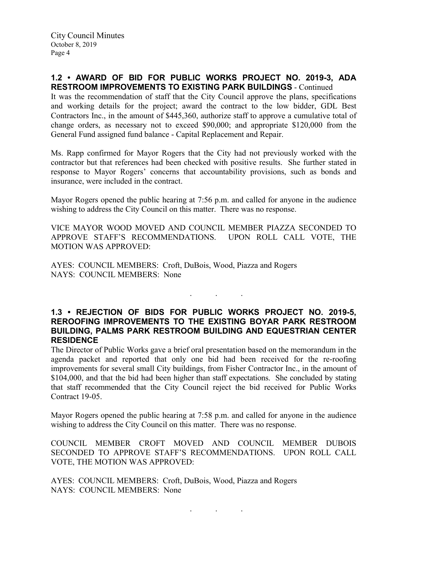### **1.2 • AWARD OF BID FOR PUBLIC WORKS PROJECT NO. 2019-3, ADA RESTROOM IMPROVEMENTS TO EXISTING PARK BUILDINGS** - Continued

It was the recommendation of staff that the City Council approve the plans, specifications and working details for the project; award the contract to the low bidder, GDL Best Contractors Inc., in the amount of \$445,360, authorize staff to approve a cumulative total of change orders, as necessary not to exceed \$90,000; and appropriate \$120,000 from the General Fund assigned fund balance - Capital Replacement and Repair.

Ms. Rapp confirmed for Mayor Rogers that the City had not previously worked with the contractor but that references had been checked with positive results. She further stated in response to Mayor Rogers' concerns that accountability provisions, such as bonds and insurance, were included in the contract.

Mayor Rogers opened the public hearing at 7:56 p.m. and called for anyone in the audience wishing to address the City Council on this matter. There was no response.

VICE MAYOR WOOD MOVED AND COUNCIL MEMBER PIAZZA SECONDED TO APPROVE STAFF'S RECOMMENDATIONS. UPON ROLL CALL VOTE, THE MOTION WAS APPROVED:

AYES: COUNCIL MEMBERS: Croft, DuBois, Wood, Piazza and Rogers NAYS: COUNCIL MEMBERS: None

#### **1.3 • REJECTION OF BIDS FOR PUBLIC WORKS PROJECT NO. 2019-5, REROOFING IMPROVEMENTS TO THE EXISTING BOYAR PARK RESTROOM BUILDING, PALMS PARK RESTROOM BUILDING AND EQUESTRIAN CENTER RESIDENCE**

. . .

The Director of Public Works gave a brief oral presentation based on the memorandum in the agenda packet and reported that only one bid had been received for the re-roofing improvements for several small City buildings, from Fisher Contractor Inc., in the amount of \$104,000, and that the bid had been higher than staff expectations. She concluded by stating that staff recommended that the City Council reject the bid received for Public Works Contract 19-05.

Mayor Rogers opened the public hearing at 7:58 p.m. and called for anyone in the audience wishing to address the City Council on this matter. There was no response.

COUNCIL MEMBER CROFT MOVED AND COUNCIL MEMBER DUBOIS SECONDED TO APPROVE STAFF'S RECOMMENDATIONS. UPON ROLL CALL VOTE, THE MOTION WAS APPROVED:

AYES: COUNCIL MEMBERS: Croft, DuBois, Wood, Piazza and Rogers NAYS: COUNCIL MEMBERS: None

. . .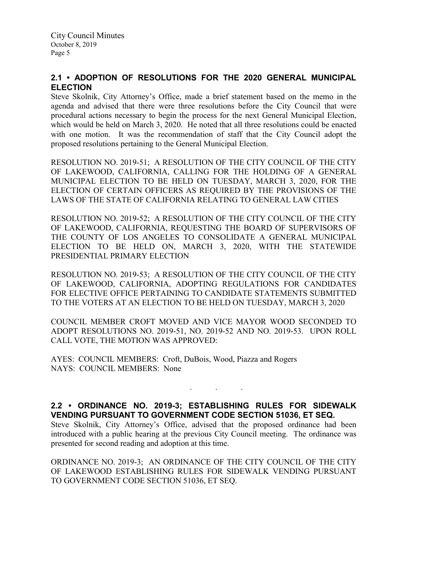## **2.1 • ADOPTION OF RESOLUTIONS FOR THE 2020 GENERAL MUNICIPAL ELECTION**

Steve Skolnik, City Attorney's Office, made a brief statement based on the memo in the agenda and advised that there were three resolutions before the City Council that were procedural actions necessary to begin the process for the next General Municipal Election, which would be held on March 3, 2020. He noted that all three resolutions could be enacted with one motion. It was the recommendation of staff that the City Council adopt the proposed resolutions pertaining to the General Municipal Election.

RESOLUTION NO. 2019-51; A RESOLUTION OF THE CITY COUNCIL OF THE CITY OF LAKEWOOD, CALIFORNIA, CALLING FOR THE HOLDING OF A GENERAL MUNICIPAL ELECTION TO BE HELD ON TUESDAY, MARCH 3, 2020, FOR THE ELECTION OF CERTAIN OFFICERS AS REQUIRED BY THE PROVISIONS OF THE LAWS OF THE STATE OF CALIFORNIA RELATING TO GENERAL LAW CITIES

RESOLUTION NO. 2019-52; A RESOLUTION OF THE CITY COUNCIL OF THE CITY OF LAKEWOOD, CALIFORNIA, REQUESTING THE BOARD OF SUPERVISORS OF THE COUNTY OF LOS ANGELES TO CONSOLIDATE A GENERAL MUNICIPAL ELECTION TO BE HELD ON, MARCH 3, 2020, WITH THE STATEWIDE PRESIDENTIAL PRIMARY ELECTION

RESOLUTION NO. 2019-53; A RESOLUTION OF THE CITY COUNCIL OF THE CITY OF LAKEWOOD, CALIFORNIA, ADOPTING REGULATIONS FOR CANDIDATES FOR ELECTIVE OFFICE PERTAINING TO CANDIDATE STATEMENTS SUBMITTED TO THE VOTERS AT AN ELECTION TO BE HELD ON TUESDAY, MARCH 3, 2020

COUNCIL MEMBER CROFT MOVED AND VICE MAYOR WOOD SECONDED TO ADOPT RESOLUTIONS NO. 2019-51, NO. 2019-52 AND NO. 2019-53. UPON ROLL CALL VOTE, THE MOTION WAS APPROVED:

AYES: COUNCIL MEMBERS: Croft, DuBois, Wood, Piazza and Rogers NAYS: COUNCIL MEMBERS: None

## **2.2 • ORDINANCE NO. 2019-3; ESTABLISHING RULES FOR SIDEWALK VENDING PURSUANT TO GOVERNMENT CODE SECTION 51036, ET SEQ.**

. . .

Steve Skolnik, City Attorney's Office, advised that the proposed ordinance had been introduced with a public hearing at the previous City Council meeting. The ordinance was presented for second reading and adoption at this time.

ORDINANCE NO. 2019-3; AN ORDINANCE OF THE CITY COUNCIL OF THE CITY OF LAKEWOOD ESTABLISHING RULES FOR SIDEWALK VENDING PURSUANT TO GOVERNMENT CODE SECTION 51036, ET SEQ.